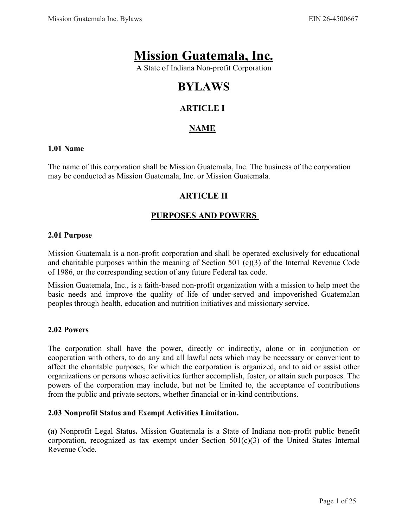# **Mission Guatemala, Inc.**

A State of Indiana Non-profit Corporation

## **BYLAWS**

### **ARTICLE I**

### **NAME**

### **1.01 Name**

The name of this corporation shall be Mission Guatemala, Inc. The business of the corporation may be conducted as Mission Guatemala, Inc. or Mission Guatemala.

### **ARTICLE II**

### **PURPOSES AND POWERS**

### **2.01 Purpose**

Mission Guatemala is a non-profit corporation and shall be operated exclusively for educational and charitable purposes within the meaning of Section 501 (c)(3) of the Internal Revenue Code of 1986, or the corresponding section of any future Federal tax code.

Mission Guatemala, Inc., is a faith-based non-profit organization with a mission to help meet the basic needs and improve the quality of life of under-served and impoverished Guatemalan peoples through health, education and nutrition initiatives and missionary service.

#### **2.02 Powers**

The corporation shall have the power, directly or indirectly, alone or in conjunction or cooperation with others, to do any and all lawful acts which may be necessary or convenient to affect the charitable purposes, for which the corporation is organized, and to aid or assist other organizations or persons whose activities further accomplish, foster, or attain such purposes. The powers of the corporation may include, but not be limited to, the acceptance of contributions from the public and private sectors, whether financial or in-kind contributions.

### **2.03 Nonprofit Status and Exempt Activities Limitation.**

**(a)** Nonprofit Legal Status**.** Mission Guatemala is a State of Indiana non-profit public benefit corporation, recognized as tax exempt under Section  $501(c)(3)$  of the United States Internal Revenue Code.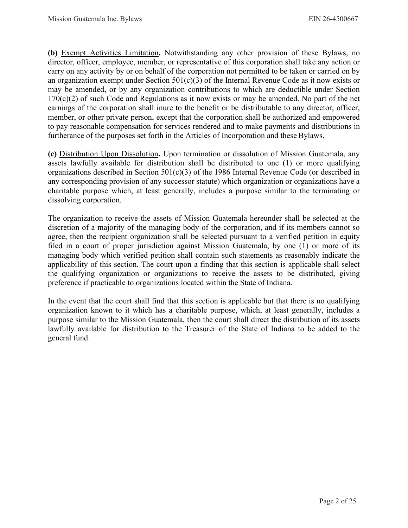**(b)** Exempt Activities Limitation**.** Notwithstanding any other provision of these Bylaws, no director, officer, employee, member, or representative of this corporation shall take any action or carry on any activity by or on behalf of the corporation not permitted to be taken or carried on by an organization exempt under Section 501(c)(3) of the Internal Revenue Code as it now exists or may be amended, or by any organization contributions to which are deductible under Section  $170(c)(2)$  of such Code and Regulations as it now exists or may be amended. No part of the net earnings of the corporation shall inure to the benefit or be distributable to any director, officer, member, or other private person, except that the corporation shall be authorized and empowered to pay reasonable compensation for services rendered and to make payments and distributions in furtherance of the purposes set forth in the Articles of Incorporation and these Bylaws.

**(c)** Distribution Upon Dissolution**.** Upon termination or dissolution of Mission Guatemala, any assets lawfully available for distribution shall be distributed to one (1) or more qualifying organizations described in Section 501(c)(3) of the 1986 Internal Revenue Code (or described in any corresponding provision of any successor statute) which organization or organizations have a charitable purpose which, at least generally, includes a purpose similar to the terminating or dissolving corporation.

The organization to receive the assets of Mission Guatemala hereunder shall be selected at the discretion of a majority of the managing body of the corporation, and if its members cannot so agree, then the recipient organization shall be selected pursuant to a verified petition in equity filed in a court of proper jurisdiction against Mission Guatemala, by one (1) or more of its managing body which verified petition shall contain such statements as reasonably indicate the applicability of this section. The court upon a finding that this section is applicable shall select the qualifying organization or organizations to receive the assets to be distributed, giving preference if practicable to organizations located within the State of Indiana.

In the event that the court shall find that this section is applicable but that there is no qualifying organization known to it which has a charitable purpose, which, at least generally, includes a purpose similar to the Mission Guatemala, then the court shall direct the distribution of its assets lawfully available for distribution to the Treasurer of the State of Indiana to be added to the general fund.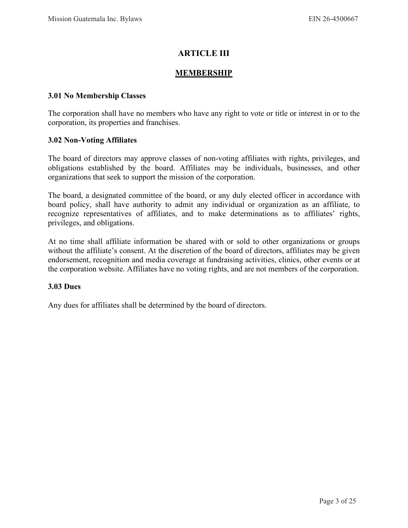### **ARTICLE III**

### **MEMBERSHIP**

### **3.01 No Membership Classes**

The corporation shall have no members who have any right to vote or title or interest in or to the corporation, its properties and franchises.

### **3.02 Non-Voting Affiliates**

The board of directors may approve classes of non-voting affiliates with rights, privileges, and obligations established by the board. Affiliates may be individuals, businesses, and other organizations that seek to support the mission of the corporation.

The board, a designated committee of the board, or any duly elected officer in accordance with board policy, shall have authority to admit any individual or organization as an affiliate, to recognize representatives of affiliates, and to make determinations as to affiliates' rights, privileges, and obligations.

At no time shall affiliate information be shared with or sold to other organizations or groups without the affiliate's consent. At the discretion of the board of directors, affiliates may be given endorsement, recognition and media coverage at fundraising activities, clinics, other events or at the corporation website. Affiliates have no voting rights, and are not members of the corporation.

#### **3.03 Dues**

Any dues for affiliates shall be determined by the board of directors.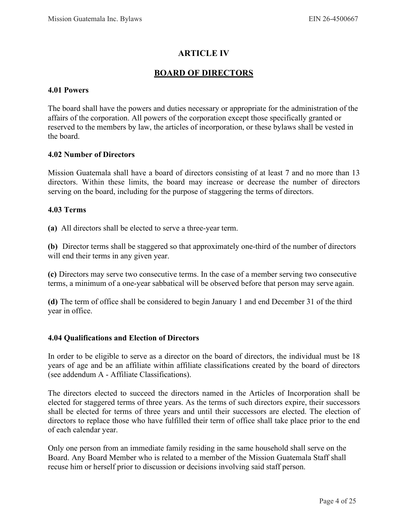### **ARTICLE IV**

### **BOARD OF DIRECTORS**

### **4.01 Powers**

The board shall have the powers and duties necessary or appropriate for the administration of the affairs of the corporation. All powers of the corporation except those specifically granted or reserved to the members by law, the articles of incorporation, or these bylaws shall be vested in the board.

### **4.02 Number of Directors**

Mission Guatemala shall have a board of directors consisting of at least 7 and no more than 13 directors. Within these limits, the board may increase or decrease the number of directors serving on the board, including for the purpose of staggering the terms of directors.

### **4.03 Terms**

**(a)** All directors shall be elected to serve a three-year term.

**(b)** Director terms shall be staggered so that approximately one-third of the number of directors will end their terms in any given year.

**(c)** Directors may serve two consecutive terms. In the case of a member serving two consecutive terms, a minimum of a one-year sabbatical will be observed before that person may serve again.

**(d)** The term of office shall be considered to begin January 1 and end December 31 of the third year in office.

### **4.04 Qualifications and Election of Directors**

In order to be eligible to serve as a director on the board of directors, the individual must be 18 years of age and be an affiliate within affiliate classifications created by the board of directors (see addendum A - Affiliate Classifications).

The directors elected to succeed the directors named in the Articles of Incorporation shall be elected for staggered terms of three years. As the terms of such directors expire, their successors shall be elected for terms of three years and until their successors are elected. The election of directors to replace those who have fulfilled their term of office shall take place prior to the end of each calendar year.

Only one person from an immediate family residing in the same household shall serve on the Board. Any Board Member who is related to a member of the Mission Guatemala Staff shall recuse him or herself prior to discussion or decisions involving said staff person.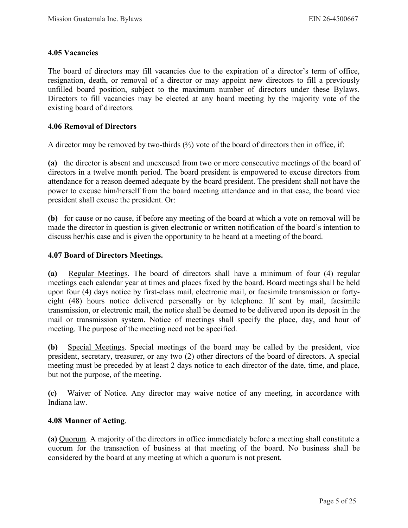### **4.05 Vacancies**

The board of directors may fill vacancies due to the expiration of a director's term of office, resignation, death, or removal of a director or may appoint new directors to fill a previously unfilled board position, subject to the maximum number of directors under these Bylaws. Directors to fill vacancies may be elected at any board meeting by the majority vote of the existing board of directors.

### **4.06 Removal of Directors**

A director may be removed by two-thirds (⅔) vote of the board of directors then in office, if:

**(a)** the director is absent and unexcused from two or more consecutive meetings of the board of directors in a twelve month period. The board president is empowered to excuse directors from attendance for a reason deemed adequate by the board president. The president shall not have the power to excuse him/herself from the board meeting attendance and in that case, the board vice president shall excuse the president. Or:

**(b)** for cause or no cause, if before any meeting of the board at which a vote on removal will be made the director in question is given electronic or written notification of the board's intention to discuss her/his case and is given the opportunity to be heard at a meeting of the board.

### **4.07 Board of Directors Meetings.**

**(a)** Regular Meetings. The board of directors shall have a minimum of four (4) regular meetings each calendar year at times and places fixed by the board. Board meetings shall be held upon four (4) days notice by first-class mail, electronic mail, or facsimile transmission or fortyeight (48) hours notice delivered personally or by telephone. If sent by mail, facsimile transmission, or electronic mail, the notice shall be deemed to be delivered upon its deposit in the mail or transmission system. Notice of meetings shall specify the place, day, and hour of meeting. The purpose of the meeting need not be specified.

**(b)** Special Meetings. Special meetings of the board may be called by the president, vice president, secretary, treasurer, or any two (2) other directors of the board of directors. A special meeting must be preceded by at least 2 days notice to each director of the date, time, and place, but not the purpose, of the meeting.

**(c)** Waiver of Notice. Any director may waive notice of any meeting, in accordance with Indiana law.

#### **4.08 Manner of Acting**.

**(a)** Quorum. A majority of the directors in office immediately before a meeting shall constitute a quorum for the transaction of business at that meeting of the board. No business shall be considered by the board at any meeting at which a quorum is not present.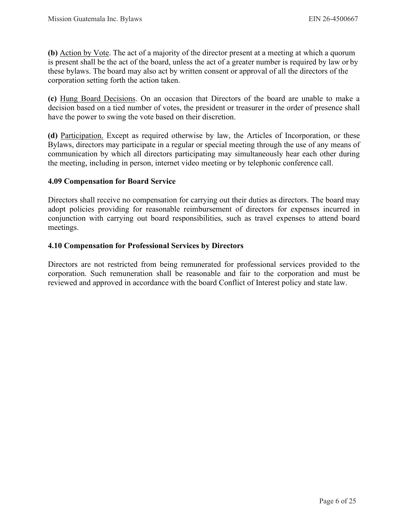**(b)** Action by Vote. The act of a majority of the director present at a meeting at which a quorum is present shall be the act of the board, unless the act of a greater number is required by law or by these bylaws. The board may also act by written consent or approval of all the directors of the corporation setting forth the action taken.

**(c)** Hung Board Decisions. On an occasion that Directors of the board are unable to make a decision based on a tied number of votes, the president or treasurer in the order of presence shall have the power to swing the vote based on their discretion.

**(d)** Participation. Except as required otherwise by law, the Articles of Incorporation, or these Bylaws, directors may participate in a regular or special meeting through the use of any means of communication by which all directors participating may simultaneously hear each other during the meeting, including in person, internet video meeting or by telephonic conference call.

### **4.09 Compensation for Board Service**

Directors shall receive no compensation for carrying out their duties as directors. The board may adopt policies providing for reasonable reimbursement of directors for expenses incurred in conjunction with carrying out board responsibilities, such as travel expenses to attend board meetings.

### **4.10 Compensation for Professional Services by Directors**

Directors are not restricted from being remunerated for professional services provided to the corporation. Such remuneration shall be reasonable and fair to the corporation and must be reviewed and approved in accordance with the board Conflict of Interest policy and state law.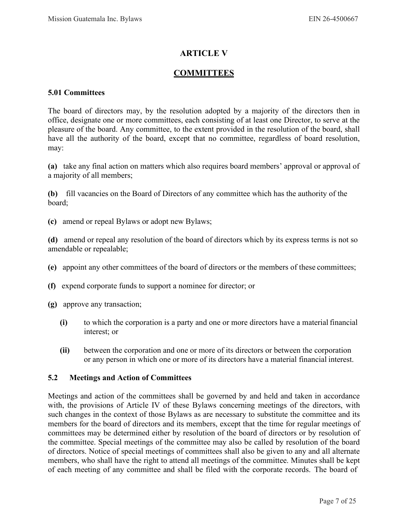### **ARTICLE V**

### **COMMITTEES**

### **5.01 Committees**

The board of directors may, by the resolution adopted by a majority of the directors then in office, designate one or more committees, each consisting of at least one Director, to serve at the pleasure of the board. Any committee, to the extent provided in the resolution of the board, shall have all the authority of the board, except that no committee, regardless of board resolution, may:

**(a)** take any final action on matters which also requires board members' approval or approval of a majority of all members;

**(b)** fill vacancies on the Board of Directors of any committee which has the authority of the board;

**(c)** amend or repeal Bylaws or adopt new Bylaws;

**(d)** amend or repeal any resolution of the board of directors which by its express terms is not so amendable or repealable;

- **(e)** appoint any other committees of the board of directors or the members of these committees;
- **(f)** expend corporate funds to support a nominee for director; or
- **(g)** approve any transaction;
	- **(i)** to which the corporation is a party and one or more directors have a material financial interest; or
	- **(ii)** between the corporation and one or more of its directors or between the corporation or any person in which one or more of its directors have a material financial interest.

### **5.2 Meetings and Action of Committees**

Meetings and action of the committees shall be governed by and held and taken in accordance with, the provisions of Article IV of these Bylaws concerning meetings of the directors, with such changes in the context of those Bylaws as are necessary to substitute the committee and its members for the board of directors and its members, except that the time for regular meetings of committees may be determined either by resolution of the board of directors or by resolution of the committee. Special meetings of the committee may also be called by resolution of the board of directors. Notice of special meetings of committees shall also be given to any and all alternate members, who shall have the right to attend all meetings of the committee. Minutes shall be kept of each meeting of any committee and shall be filed with the corporate records. The board of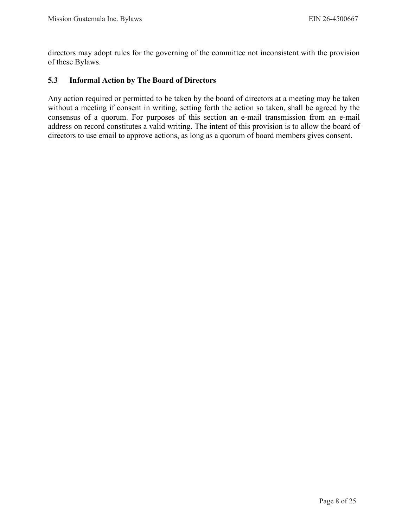directors may adopt rules for the governing of the committee not inconsistent with the provision of these Bylaws.

### **5.3 Informal Action by The Board of Directors**

Any action required or permitted to be taken by the board of directors at a meeting may be taken without a meeting if consent in writing, setting forth the action so taken, shall be agreed by the consensus of a quorum. For purposes of this section an e-mail transmission from an e-mail address on record constitutes a valid writing. The intent of this provision is to allow the board of directors to use email to approve actions, as long as a quorum of board members gives consent.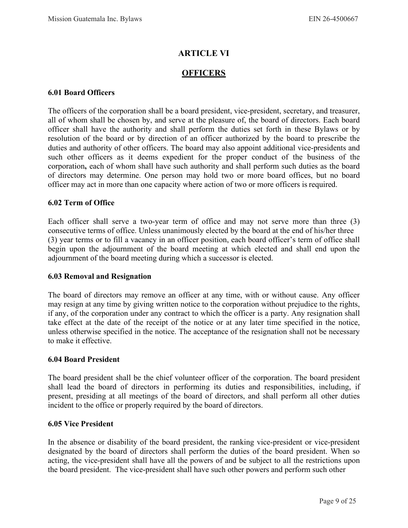### **ARTICLE VI**

### **OFFICERS**

### **6.01 Board Officers**

The officers of the corporation shall be a board president, vice-president, secretary, and treasurer, all of whom shall be chosen by, and serve at the pleasure of, the board of directors. Each board officer shall have the authority and shall perform the duties set forth in these Bylaws or by resolution of the board or by direction of an officer authorized by the board to prescribe the duties and authority of other officers. The board may also appoint additional vice-presidents and such other officers as it deems expedient for the proper conduct of the business of the corporation**,** each of whom shall have such authority and shall perform such duties as the board of directors may determine. One person may hold two or more board offices, but no board officer may act in more than one capacity where action of two or more officers is required.

### **6.02 Term of Office**

Each officer shall serve a two-year term of office and may not serve more than three (3) consecutive terms of office. Unless unanimously elected by the board at the end of his/her three (3) year terms or to fill a vacancy in an officer position, each board officer's term of office shall begin upon the adjournment of the board meeting at which elected and shall end upon the adjournment of the board meeting during which a successor is elected.

#### **6.03 Removal and Resignation**

The board of directors may remove an officer at any time, with or without cause. Any officer may resign at any time by giving written notice to the corporation without prejudice to the rights, if any, of the corporation under any contract to which the officer is a party. Any resignation shall take effect at the date of the receipt of the notice or at any later time specified in the notice, unless otherwise specified in the notice. The acceptance of the resignation shall not be necessary to make it effective.

#### **6.04 Board President**

The board president shall be the chief volunteer officer of the corporation. The board president shall lead the board of directors in performing its duties and responsibilities, including, if present, presiding at all meetings of the board of directors, and shall perform all other duties incident to the office or properly required by the board of directors.

#### **6.05 Vice President**

In the absence or disability of the board president, the ranking vice-president or vice-president designated by the board of directors shall perform the duties of the board president. When so acting, the vice-president shall have all the powers of and be subject to all the restrictions upon the board president. The vice-president shall have such other powers and perform such other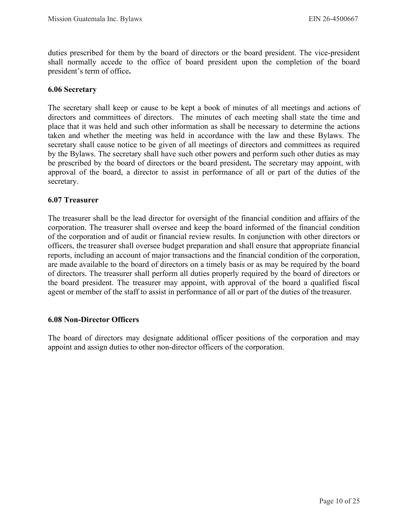duties prescribed for them by the board of directors or the board president. The vice-president shall normally accede to the office of board president upon the completion of the board president's term of office**.**

#### **6.06 Secretary**

The secretary shall keep or cause to be kept a book of minutes of all meetings and actions of directors and committees of directors. The minutes of each meeting shall state the time and place that it was held and such other information as shall be necessary to determine the actions taken and whether the meeting was held in accordance with the law and these Bylaws. The secretary shall cause notice to be given of all meetings of directors and committees as required by the Bylaws. The secretary shall have such other powers and perform such other duties as may be prescribed by the board of directors or the board president**.** The secretary may appoint, with approval of the board, a director to assist in performance of all or part of the duties of the secretary.

### **6.07 Treasurer**

The treasurer shall be the lead director for oversight of the financial condition and affairs of the corporation. The treasurer shall oversee and keep the board informed of the financial condition of the corporation and of audit or financial review results. In conjunction with other directors or officers, the treasurer shall oversee budget preparation and shall ensure that appropriate financial reports, including an account of major transactions and the financial condition of the corporation, are made available to the board of directors on a timely basis or as may be required by the board of directors. The treasurer shall perform all duties properly required by the board of directors or the board president. The treasurer may appoint, with approval of the board a qualified fiscal agent or member of the staff to assist in performance of all or part of the duties of the treasurer.

#### **6.08 Non-Director Officers**

The board of directors may designate additional officer positions of the corporation and may appoint and assign duties to other non-director officers of the corporation.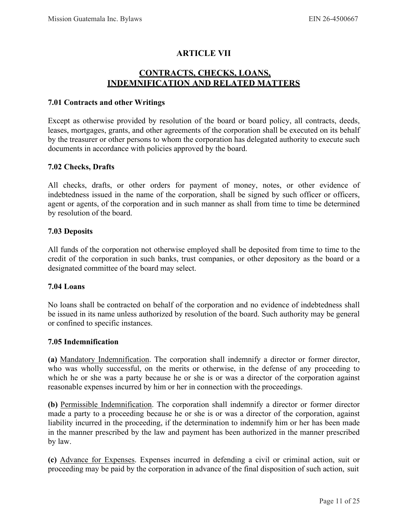### **ARTICLE VII**

### **CONTRACTS, CHECKS, LOANS, INDEMNIFICATION AND RELATED MATTERS**

### **7.01 Contracts and other Writings**

Except as otherwise provided by resolution of the board or board policy, all contracts, deeds, leases, mortgages, grants, and other agreements of the corporation shall be executed on its behalf by the treasurer or other persons to whom the corporation has delegated authority to execute such documents in accordance with policies approved by the board.

### **7.02 Checks, Drafts**

All checks, drafts, or other orders for payment of money, notes, or other evidence of indebtedness issued in the name of the corporation, shall be signed by such officer or officers, agent or agents, of the corporation and in such manner as shall from time to time be determined by resolution of the board.

### **7.03 Deposits**

All funds of the corporation not otherwise employed shall be deposited from time to time to the credit of the corporation in such banks, trust companies, or other depository as the board or a designated committee of the board may select.

#### **7.04 Loans**

No loans shall be contracted on behalf of the corporation and no evidence of indebtedness shall be issued in its name unless authorized by resolution of the board. Such authority may be general or confined to specific instances.

#### **7.05 Indemnification**

**(a)** Mandatory Indemnification. The corporation shall indemnify a director or former director, who was wholly successful, on the merits or otherwise, in the defense of any proceeding to which he or she was a party because he or she is or was a director of the corporation against reasonable expenses incurred by him or her in connection with the proceedings.

**(b)** Permissible Indemnification. The corporation shall indemnify a director or former director made a party to a proceeding because he or she is or was a director of the corporation, against liability incurred in the proceeding, if the determination to indemnify him or her has been made in the manner prescribed by the law and payment has been authorized in the manner prescribed by law.

**(c)** Advance for Expenses. Expenses incurred in defending a civil or criminal action, suit or proceeding may be paid by the corporation in advance of the final disposition of such action, suit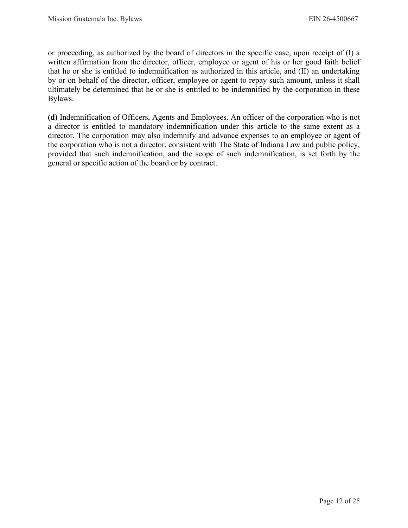or proceeding, as authorized by the board of directors in the specific case, upon receipt of (I) a written affirmation from the director, officer, employee or agent of his or her good faith belief that he or she is entitled to indemnification as authorized in this article, and (II) an undertaking by or on behalf of the director, officer, employee or agent to repay such amount, unless it shall ultimately be determined that he or she is entitled to be indemnified by the corporation in these Bylaws.

**(d)** Indemnification of Officers, Agents and Employees. An officer of the corporation who is not a director is entitled to mandatory indemnification under this article to the same extent as a director. The corporation may also indemnify and advance expenses to an employee or agent of the corporation who is not a director, consistent with The State of Indiana Law and public policy, provided that such indemnification, and the scope of such indemnification, is set forth by the general or specific action of the board or by contract.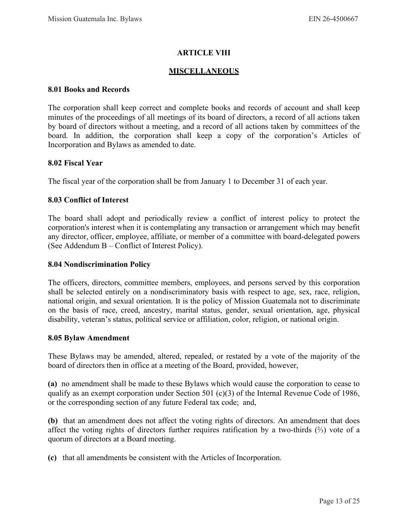### **ARTICLE VIII**

### **MISCELLANEOUS**

#### **8.01 Books and Records**

The corporation shall keep correct and complete books and records of account and shall keep minutes of the proceedings of all meetings of its board of directors, a record of all actions taken by board of directors without a meeting, and a record of all actions taken by committees of the board. In addition, the corporation shall keep a copy of the corporation's Articles of Incorporation and Bylaws as amended to date.

### **8.02 Fiscal Year**

The fiscal year of the corporation shall be from January 1 to December 31 of each year.

### **8.03 Conflict of Interest**

The board shall adopt and periodically review a conflict of interest policy to protect the corporation's interest when it is contemplating any transaction or arrangement which may benefit any director, officer, employee, affiliate, or member of a committee with board-delegated powers (See Addendum B – Conflict of Interest Policy).

#### **8.04 Nondiscrimination Policy**

The officers, directors, committee members, employees, and persons served by this corporation shall be selected entirely on a nondiscriminatory basis with respect to age, sex, race, religion, national origin, and sexual orientation. It is the policy of Mission Guatemala not to discriminate on the basis of race, creed, ancestry, marital status, gender, sexual orientation, age, physical disability, veteran's status, political service or affiliation, color, religion, or national origin.

#### **8.05 Bylaw Amendment**

These Bylaws may be amended, altered, repealed, or restated by a vote of the majority of the board of directors then in office at a meeting of the Board, provided, however,

**(a)** no amendment shall be made to these Bylaws which would cause the corporation to cease to qualify as an exempt corporation under Section 501 (c)(3) of the Internal Revenue Code of 1986, or the corresponding section of any future Federal tax code; and,

**(b)** that an amendment does not affect the voting rights of directors. An amendment that does affect the voting rights of directors further requires ratification by a two-thirds (⅔) vote of a quorum of directors at a Board meeting.

**(c)** that all amendments be consistent with the Articles of Incorporation.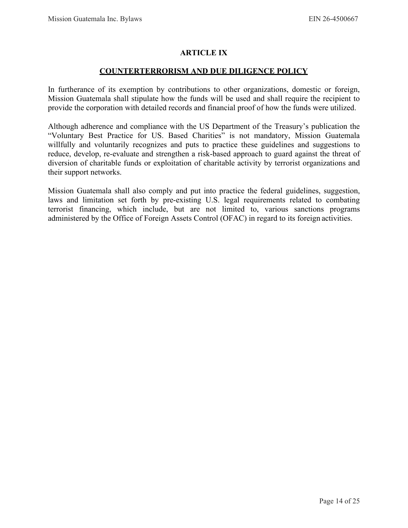### **ARTICLE IX**

### **COUNTERTERRORISM AND DUE DILIGENCE POLICY**

In furtherance of its exemption by contributions to other organizations, domestic or foreign, Mission Guatemala shall stipulate how the funds will be used and shall require the recipient to provide the corporation with detailed records and financial proof of how the funds were utilized.

Although adherence and compliance with the US Department of the Treasury's publication the "Voluntary Best Practice for US. Based Charities" is not mandatory, Mission Guatemala willfully and voluntarily recognizes and puts to practice these guidelines and suggestions to reduce, develop, re-evaluate and strengthen a risk-based approach to guard against the threat of diversion of charitable funds or exploitation of charitable activity by terrorist organizations and their support networks.

Mission Guatemala shall also comply and put into practice the federal guidelines, suggestion, laws and limitation set forth by pre-existing U.S. legal requirements related to combating terrorist financing, which include, but are not limited to, various sanctions programs administered by the Office of Foreign Assets Control (OFAC) in regard to its foreign activities.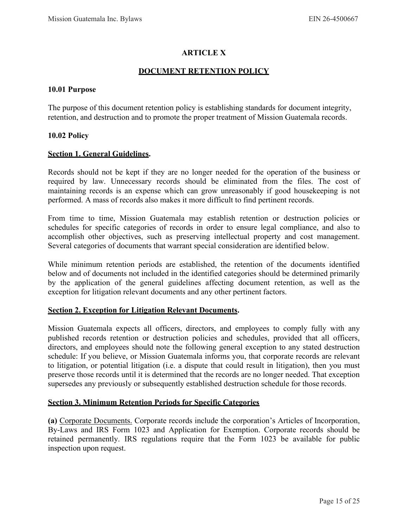### **ARTICLE X**

### **DOCUMENT RETENTION POLICY**

### **10.01 Purpose**

The purpose of this document retention policy is establishing standards for document integrity, retention, and destruction and to promote the proper treatment of Mission Guatemala records.

### **10.02 Policy**

### **Section 1. General Guidelines.**

Records should not be kept if they are no longer needed for the operation of the business or required by law. Unnecessary records should be eliminated from the files. The cost of maintaining records is an expense which can grow unreasonably if good housekeeping is not performed. A mass of records also makes it more difficult to find pertinent records.

From time to time, Mission Guatemala may establish retention or destruction policies or schedules for specific categories of records in order to ensure legal compliance, and also to accomplish other objectives, such as preserving intellectual property and cost management. Several categories of documents that warrant special consideration are identified below.

While minimum retention periods are established, the retention of the documents identified below and of documents not included in the identified categories should be determined primarily by the application of the general guidelines affecting document retention, as well as the exception for litigation relevant documents and any other pertinent factors.

#### **Section 2. Exception for Litigation Relevant Documents.**

Mission Guatemala expects all officers, directors, and employees to comply fully with any published records retention or destruction policies and schedules, provided that all officers, directors, and employees should note the following general exception to any stated destruction schedule: If you believe, or Mission Guatemala informs you, that corporate records are relevant to litigation, or potential litigation (i.e. a dispute that could result in litigation), then you must preserve those records until it is determined that the records are no longer needed. That exception supersedes any previously or subsequently established destruction schedule for those records.

#### **Section 3. Minimum Retention Periods for Specific Categories**

**(a)** Corporate Documents. Corporate records include the corporation's Articles of Incorporation, By-Laws and IRS Form 1023 and Application for Exemption. Corporate records should be retained permanently. IRS regulations require that the Form 1023 be available for public inspection upon request.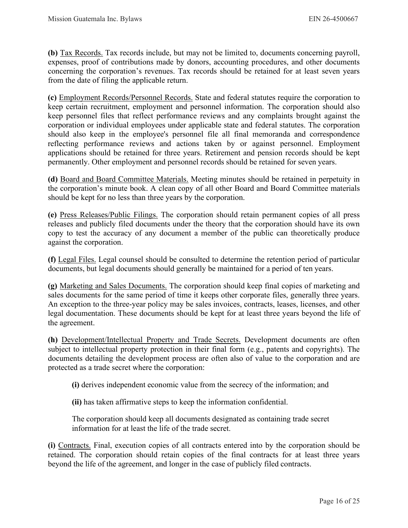**(b)** Tax Records. Tax records include, but may not be limited to, documents concerning payroll, expenses, proof of contributions made by donors, accounting procedures, and other documents concerning the corporation's revenues. Tax records should be retained for at least seven years from the date of filing the applicable return.

**(c)** Employment Records/Personnel Records. State and federal statutes require the corporation to keep certain recruitment, employment and personnel information. The corporation should also keep personnel files that reflect performance reviews and any complaints brought against the corporation or individual employees under applicable state and federal statutes. The corporation should also keep in the employee's personnel file all final memoranda and correspondence reflecting performance reviews and actions taken by or against personnel. Employment applications should be retained for three years. Retirement and pension records should be kept permanently. Other employment and personnel records should be retained for seven years.

**(d)** Board and Board Committee Materials. Meeting minutes should be retained in perpetuity in the corporation's minute book. A clean copy of all other Board and Board Committee materials should be kept for no less than three years by the corporation.

**(e)** Press Releases/Public Filings. The corporation should retain permanent copies of all press releases and publicly filed documents under the theory that the corporation should have its own copy to test the accuracy of any document a member of the public can theoretically produce against the corporation.

**(f)** Legal Files. Legal counsel should be consulted to determine the retention period of particular documents, but legal documents should generally be maintained for a period of ten years.

**(g)** Marketing and Sales Documents. The corporation should keep final copies of marketing and sales documents for the same period of time it keeps other corporate files, generally three years. An exception to the three-year policy may be sales invoices, contracts, leases, licenses, and other legal documentation. These documents should be kept for at least three years beyond the life of the agreement.

**(h)** Development/Intellectual Property and Trade Secrets. Development documents are often subject to intellectual property protection in their final form (e.g., patents and copyrights). The documents detailing the development process are often also of value to the corporation and are protected as a trade secret where the corporation:

**(i)** derives independent economic value from the secrecy of the information; and

**(ii)** has taken affirmative steps to keep the information confidential.

The corporation should keep all documents designated as containing trade secret information for at least the life of the trade secret.

**(i)** Contracts. Final, execution copies of all contracts entered into by the corporation should be retained. The corporation should retain copies of the final contracts for at least three years beyond the life of the agreement, and longer in the case of publicly filed contracts.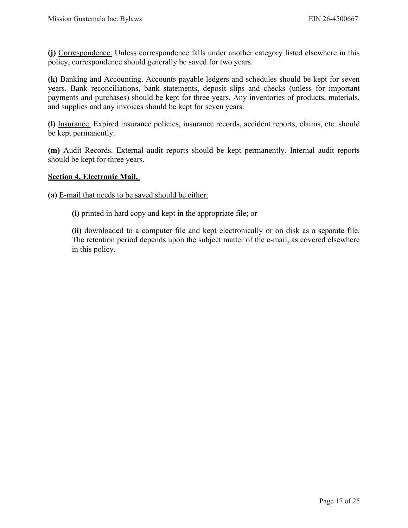**(j)** Correspondence. Unless correspondence falls under another category listed elsewhere in this policy, correspondence should generally be saved for two years.

**(k)** Banking and Accounting. Accounts payable ledgers and schedules should be kept for seven years. Bank reconciliations, bank statements, deposit slips and checks (unless for important payments and purchases) should be kept for three years. Any inventories of products, materials, and supplies and any invoices should be kept for seven years.

**(l)** Insurance. Expired insurance policies, insurance records, accident reports, claims, etc. should be kept permanently.

**(m)** Audit Records. External audit reports should be kept permanently. Internal audit reports should be kept for three years.

### **Section 4. Electronic Mail.**

**(a)** E-mail that needs to be saved should be either:

**(i)** printed in hard copy and kept in the appropriate file; or

**(ii)** downloaded to a computer file and kept electronically or on disk as a separate file. The retention period depends upon the subject matter of the e-mail, as covered elsewhere in this policy.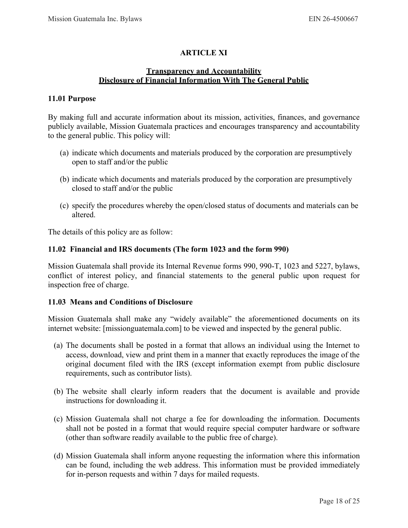### **ARTICLE XI**

### **Transparency and Accountability Disclosure of Financial Information With The General Public**

### **11.01 Purpose**

By making full and accurate information about its mission, activities, finances, and governance publicly available, Mission Guatemala practices and encourages transparency and accountability to the general public. This policy will:

- (a) indicate which documents and materials produced by the corporation are presumptively open to staff and/or the public
- (b) indicate which documents and materials produced by the corporation are presumptively closed to staff and/or the public
- (c) specify the procedures whereby the open/closed status of documents and materials can be altered.

The details of this policy are as follow:

### **11.02 Financial and IRS documents (The form 1023 and the form 990)**

Mission Guatemala shall provide its Internal Revenue forms 990, 990-T, 1023 and 5227, bylaws, conflict of interest policy, and financial statements to the general public upon request for inspection free of charge.

### **11.03 Means and Conditions of Disclosure**

Mission Guatemala shall make any "widely available" the aforementioned documents on its internet website: [missionguatemala.com] to be viewed and inspected by the general public.

- (a) The documents shall be posted in a format that allows an individual using the Internet to access, download, view and print them in a manner that exactly reproduces the image of the original document filed with the IRS (except information exempt from public disclosure requirements, such as contributor lists).
- (b) The website shall clearly inform readers that the document is available and provide instructions for downloading it.
- (c) Mission Guatemala shall not charge a fee for downloading the information. Documents shall not be posted in a format that would require special computer hardware or software (other than software readily available to the public free of charge).
- (d) Mission Guatemala shall inform anyone requesting the information where this information can be found, including the web address. This information must be provided immediately for in-person requests and within 7 days for mailed requests.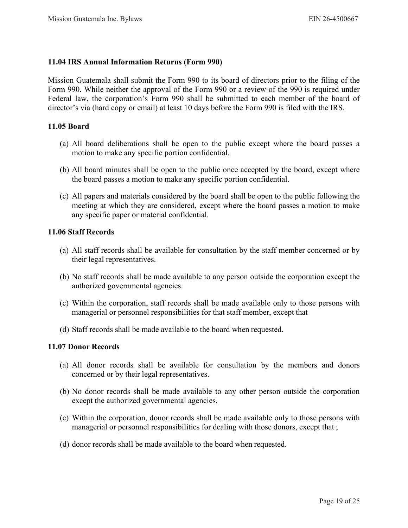### **11.04 IRS Annual Information Returns (Form 990)**

Mission Guatemala shall submit the Form 990 to its board of directors prior to the filing of the Form 990. While neither the approval of the Form 990 or a review of the 990 is required under Federal law, the corporation's Form 990 shall be submitted to each member of the board of director's via (hard copy or email) at least 10 days before the Form 990 is filed with the IRS.

#### **11.05 Board**

- (a) All board deliberations shall be open to the public except where the board passes a motion to make any specific portion confidential.
- (b) All board minutes shall be open to the public once accepted by the board, except where the board passes a motion to make any specific portion confidential.
- (c) All papers and materials considered by the board shall be open to the public following the meeting at which they are considered, except where the board passes a motion to make any specific paper or material confidential.

### **11.06 Staff Records**

- (a) All staff records shall be available for consultation by the staff member concerned or by their legal representatives.
- (b) No staff records shall be made available to any person outside the corporation except the authorized governmental agencies.
- (c) Within the corporation, staff records shall be made available only to those persons with managerial or personnel responsibilities for that staff member, except that
- (d) Staff records shall be made available to the board when requested.

#### **11.07 Donor Records**

- (a) All donor records shall be available for consultation by the members and donors concerned or by their legal representatives.
- (b) No donor records shall be made available to any other person outside the corporation except the authorized governmental agencies.
- (c) Within the corporation, donor records shall be made available only to those persons with managerial or personnel responsibilities for dealing with those donors, except that ;
- (d) donor records shall be made available to the board when requested.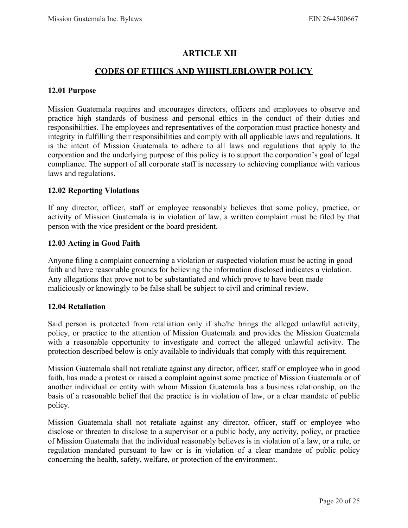### **ARTICLE XII**

### **CODES OF ETHICS AND WHISTLEBLOWER POLICY**

### **12.01 Purpose**

Mission Guatemala requires and encourages directors, officers and employees to observe and practice high standards of business and personal ethics in the conduct of their duties and responsibilities. The employees and representatives of the corporation must practice honesty and integrity in fulfilling their responsibilities and comply with all applicable laws and regulations. It is the intent of Mission Guatemala to adhere to all laws and regulations that apply to the corporation and the underlying purpose of this policy is to support the corporation's goal of legal compliance. The support of all corporate staff is necessary to achieving compliance with various laws and regulations.

### **12.02 Reporting Violations**

If any director, officer, staff or employee reasonably believes that some policy, practice, or activity of Mission Guatemala is in violation of law, a written complaint must be filed by that person with the vice president or the board president.

### **12.03 Acting in Good Faith**

Anyone filing a complaint concerning a violation or suspected violation must be acting in good faith and have reasonable grounds for believing the information disclosed indicates a violation. Any allegations that prove not to be substantiated and which prove to have been made maliciously or knowingly to be false shall be subject to civil and criminal review.

#### **12.04 Retaliation**

Said person is protected from retaliation only if she/he brings the alleged unlawful activity, policy, or practice to the attention of Mission Guatemala and provides the Mission Guatemala with a reasonable opportunity to investigate and correct the alleged unlawful activity. The protection described below is only available to individuals that comply with this requirement.

Mission Guatemala shall not retaliate against any director, officer, staff or employee who in good faith, has made a protest or raised a complaint against some practice of Mission Guatemala or of another individual or entity with whom Mission Guatemala has a business relationship, on the basis of a reasonable belief that the practice is in violation of law, or a clear mandate of public policy.

Mission Guatemala shall not retaliate against any director, officer, staff or employee who disclose or threaten to disclose to a supervisor or a public body, any activity, policy, or practice of Mission Guatemala that the individual reasonably believes is in violation of a law, or a rule, or regulation mandated pursuant to law or is in violation of a clear mandate of public policy concerning the health, safety, welfare, or protection of the environment.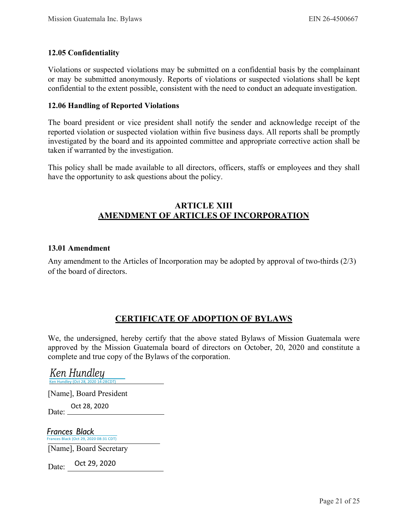### **12.05 Confidentiality**

Violations or suspected violations may be submitted on a confidential basis by the complainant or may be submitted anonymously. Reports of violations or suspected violations shall be kept confidential to the extent possible, consistent with the need to conduct an adequate investigation.

### **12.06 Handling of Reported Violations**

The board president or vice president shall notify the sender and acknowledge receipt of the reported violation or suspected violation within five business days. All reports shall be promptly investigated by the board and its appointed committee and appropriate corrective action shall be taken if warranted by the investigation.

This policy shall be made available to all directors, officers, staffs or employees and they shall have the opportunity to ask questions about the policy.

### **ARTICLE XIII AMENDMENT OF ARTICLES OF INCORPORATION**

### **13.01 Amendment**

Any amendment to the Articles of Incorporation may be adopted by approval of two-thirds (2/3) of the board of directors.

### **CERTIFICATE OF ADOPTION OF BYLAWS**

We, the undersigned, hereby certify that the above stated Bylaws of Mission Guatemala were approved by the Mission Guatemala board of directors on October, 20, 2020 and constitute a complete and true copy of the Bylaws of the corporation.

*[Ken Hundley](https://na2.documents.adobe.com/verifier?tx=CBJCHBCAABAAK4IgfE1N73687DyEbCxCNPfX5cQ_LKhq)* [Ken Hundley \(Oct 28, 2020 14:28CDT\)](https://na2.documents.adobe.com/verifier?tx=CBJCHBCAABAAK4IgfE1N73687DyEbCxCNPfX5cQ_LKhq) [Name], Board President Date: Oct 28, 2020 *[Frances](https://na2.documents.adobe.com/verifier?tx=CBJCHBCAABAAK4IgfE1N73687DyEbCxCNPfX5cQ_LKhq) Black* [Frances Black \(Oct 29, 2020 08:31 CDT\)](https://na2.documents.adobe.com/verifier?tx=CBJCHBCAABAAK4IgfE1N73687DyEbCxCNPfX5cQ_LKhq) [Name], Board Secretary Date: Oct 29, 2020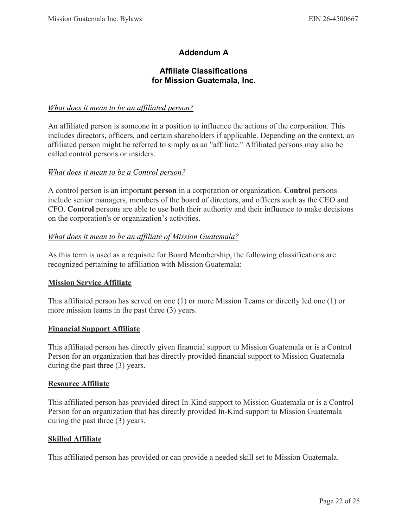### **Addendum A**

### **Affiliate Classifications for Mission Guatemala, Inc.**

### *What does it mean to be an affiliated person?*

An affiliated person is someone in a position to influence the actions of the corporation. This includes directors, officers, and certain shareholders if applicable. Depending on the context, an affiliated person might be referred to simply as an "affiliate." Affiliated persons may also be called control persons or insiders.

### *What does it mean to be a Control person?*

A control person is an important **person** in a corporation or organization. **Control** persons include senior managers, members of the board of directors, and officers such as the CEO and CFO. **Control** persons are able to use both their authority and their influence to make decisions on the corporation's or organization's activities.

### *What does it mean to be an affiliate of Mission Guatemala?*

As this term is used as a requisite for Board Membership, the following classifications are recognized pertaining to affiliation with Mission Guatemala:

### **Mission Service Affiliate**

This affiliated person has served on one (1) or more Mission Teams or directly led one (1) or more mission teams in the past three (3) years.

#### **Financial Support Affiliate**

This affiliated person has directly given financial support to Mission Guatemala or is a Control Person for an organization that has directly provided financial support to Mission Guatemala during the past three (3) years.

#### **Resource Affiliate**

This affiliated person has provided direct In-Kind support to Mission Guatemala or is a Control Person for an organization that has directly provided In-Kind support to Mission Guatemala during the past three (3) years.

#### **Skilled Affiliate**

This affiliated person has provided or can provide a needed skill set to Mission Guatemala.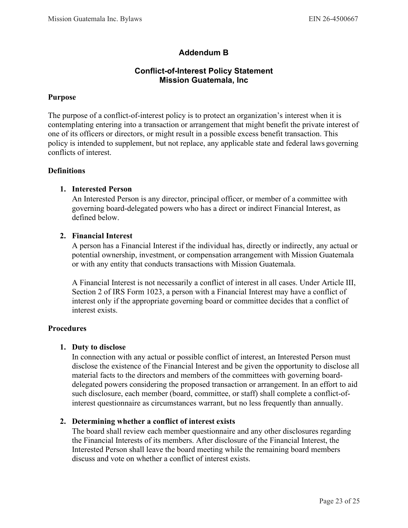### **Addendum B**

### **Conflict-of-Interest Policy Statement Mission Guatemala, Inc**

### **Purpose**

The purpose of a conflict-of-interest policy is to protect an organization's interest when it is contemplating entering into a transaction or arrangement that might benefit the private interest of one of its officers or directors, or might result in a possible excess benefit transaction. This policy is intended to supplement, but not replace, any applicable state and federal laws governing conflicts of interest.

### **Definitions**

### **1. Interested Person**

An Interested Person is any director, principal officer, or member of a committee with governing board-delegated powers who has a direct or indirect Financial Interest, as defined below.

### **2. Financial Interest**

A person has a Financial Interest if the individual has, directly or indirectly, any actual or potential ownership, investment, or compensation arrangement with Mission Guatemala or with any entity that conducts transactions with Mission Guatemala.

A Financial Interest is not necessarily a conflict of interest in all cases. Under Article III, Section 2 of IRS Form 1023, a person with a Financial Interest may have a conflict of interest only if the appropriate governing board or committee decides that a conflict of interest exists.

#### **Procedures**

#### **1. Duty to disclose**

In connection with any actual or possible conflict of interest, an Interested Person must disclose the existence of the Financial Interest and be given the opportunity to disclose all material facts to the directors and members of the committees with governing boarddelegated powers considering the proposed transaction or arrangement. In an effort to aid such disclosure, each member (board, committee, or staff) shall complete a conflict-ofinterest questionnaire as circumstances warrant, but no less frequently than annually.

### **2. Determining whether a conflict of interest exists**

The board shall review each member questionnaire and any other disclosures regarding the Financial Interests of its members. After disclosure of the Financial Interest, the Interested Person shall leave the board meeting while the remaining board members discuss and vote on whether a conflict of interest exists.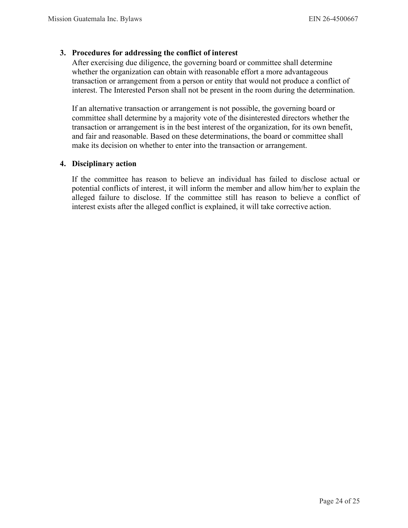### **3. Procedures for addressing the conflict of interest**

After exercising due diligence, the governing board or committee shall determine whether the organization can obtain with reasonable effort a more advantageous transaction or arrangement from a person or entity that would not produce a conflict of interest. The Interested Person shall not be present in the room during the determination.

If an alternative transaction or arrangement is not possible, the governing board or committee shall determine by a majority vote of the disinterested directors whether the transaction or arrangement is in the best interest of the organization, for its own benefit, and fair and reasonable. Based on these determinations, the board or committee shall make its decision on whether to enter into the transaction or arrangement.

### **4. Disciplinary action**

If the committee has reason to believe an individual has failed to disclose actual or potential conflicts of interest, it will inform the member and allow him/her to explain the alleged failure to disclose. If the committee still has reason to believe a conflict of interest exists after the alleged conflict is explained, it will take corrective action.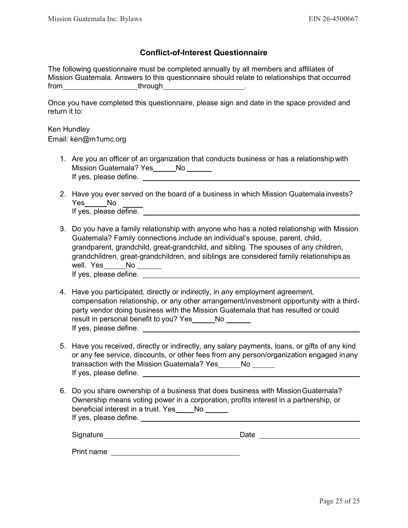### **Conflict-of-Interest Questionnaire**

The following questionnaire must be completed annually by all members and affiliates of Mission Guatemala. Answers to this questionnaire should relate to relationships that occurred from through through the state of the state of the state of the state of the state of the state of the state o

Once you have completed this questionnaire, please sign and date in the space provided and return it to:

Ken Hundley Email: [ken@m1umc.org](mailto:ken@m1umc.org)

- 1. Are you an officer of an organization that conducts business or has a relationship with Mission Guatemala? Yes \_\_\_\_\_\_No \_\_\_\_\_\_\_ If yes, please define.
- 2. Have you ever served on the board of a business in which Mission Guatemalainvests? Yes No If yes, please define.
- 3. Do you have a family relationship with anyone who has a noted relationship with Mission Guatemala? Family connections include an individual's spouse, parent, child, grandparent, grandchild, great-grandchild, and sibling. The spouses of any children, grandchildren, great-grandchildren, and siblings are considered family relationshipsas well. Yes \_\_\_\_\_\_No \_\_\_\_\_\_\_ If yes, please define.
- 4. Have you participated, directly or indirectly, in any employment agreement, compensation relationship, or any other arrangement/investment opportunity with a thirdparty vendor doing business with the Mission Guatemala that has resulted or could result in personal benefit to you? Yes \_\_\_\_\_No \_\_\_\_\_\_ If yes, please define.
- 5. Have you received, directly or indirectly, any salary payments, loans, or gifts of any kind or any fee service, discounts, or other fees from any person/organization engaged inany transaction with the Mission Guatemala? Yes No If yes, please define.
- 6. Do you share ownership of a business that does business with MissionGuatemala? Ownership means voting power in a corporation, profits interest in a partnership, or beneficial interest in a trust. Yes No If yes, please define.

Signature **Date Contract Contract Contract Contract Contract Contract Contract Contract Contract Contract Contract Contract Contract Contract Contract Contract Contract Contract Contract Contract Contract Contract Contra** 

Print name